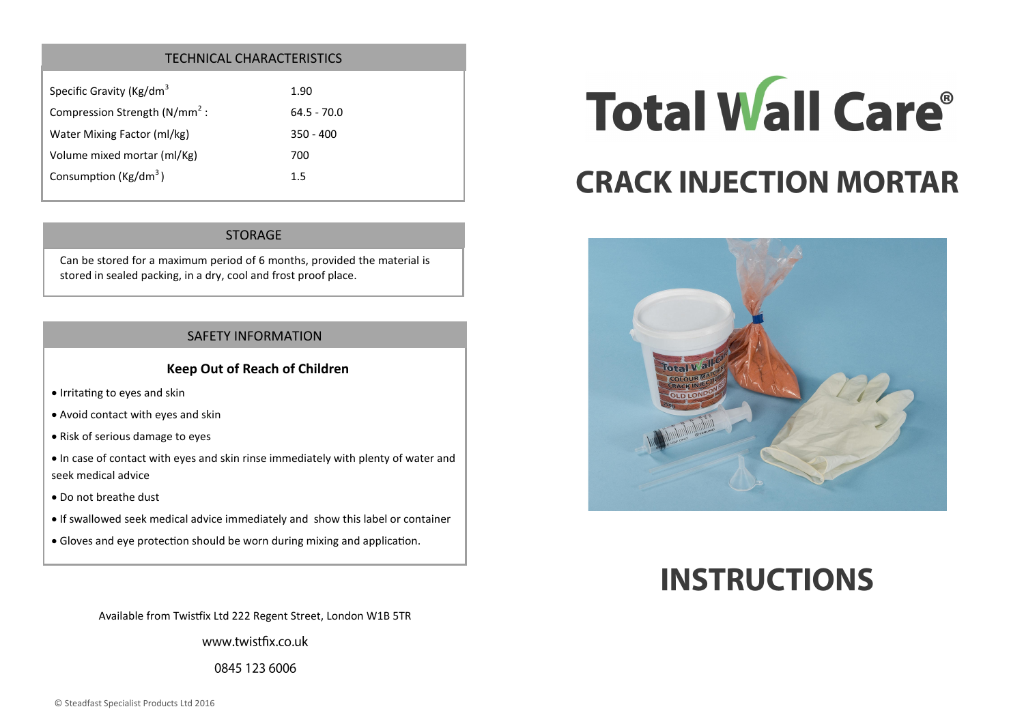#### TECHNICAL CHARACTERISTICS

| 1.90          |
|---------------|
| $64.5 - 70.0$ |
| $350 - 400$   |
| 700           |
| 1.5           |
|               |

#### STORAGE

Can be stored for a maximum period of 6 months, provided the material is stored in sealed packing, in a dry, cool and frost proof place.

#### SAFETY INFORMATION

#### **Keep Out of Reach of Children**

- Irritating to eyes and skin
- Avoid contact with eyes and skin
- Risk of serious damage to eyes
- In case of contact with eyes and skin rinse immediately with plenty of water and seek medical advice
- Do not breathe dust
- If swallowed seek medical advice immediately and show this label or container
- Gloves and eye protection should be worn during mixing and application.

Available from Twistfix Ltd 222 Regent Street, London W1B 5TR

www.twistfix.co.uk

0845 123 6006

# **Total Wall Care®**

# **CRACK INJECTION MORTAR**



# **INSTRUCTIONS**